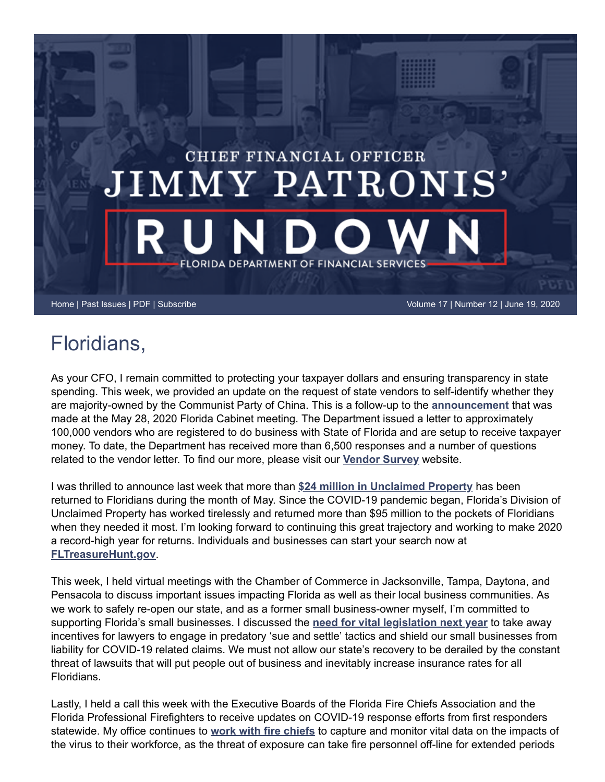

## Floridians,

As your CFO, I remain committed to protecting your taxpayer dollars and ensuring transparency in state spending. This week, we provided an update on the request of state vendors to self-identify whether they are majority-owned by the Communist Party of China. This is a follow-up to the **[announcement](https://www.myfloridacfo.com/sitePages/newsroom/pressRelease.aspx?id=5554)** that was made at the May 28, 2020 Florida Cabinet meeting. The Department issued a letter to approximately 100,000 vendors who are registered to do business with State of Florida and are setup to receive taxpayer money. To date, the Department has received more than 6,500 responses and a number of questions related to the vendor letter. To find our more, please visit our **[Vendor Survey](https://www.myfloridacfo.com/VendorSurvey/default.htm)** website.

I was thrilled to announce last week that more than **[\\$24 million in Unclaimed Property](https://www.myfloridacfo.com/sitePages/newsroom/pressRelease.aspx?id=5560)** has been returned to Floridians during the month of May. Since the COVID-19 pandemic began, Florida's Division of Unclaimed Property has worked tirelessly and returned more than \$95 million to the pockets of Floridians when they needed it most. I'm looking forward to continuing this great trajectory and working to make 2020 a record-high year for returns. Individuals and businesses can start your search now at **[FLTreasureHunt.gov](https://www.fltreasurehunt.gov/)**.

This week, I held virtual meetings with the Chamber of Commerce in Jacksonville, Tampa, Daytona, and Pensacola to discuss important issues impacting Florida as well as their local business communities. As we work to safely re-open our state, and as a former small business-owner myself, I'm committed to supporting Florida's small businesses. I discussed the **[need for vital legislation next year](https://www.myfloridacfo.com/sitePages/newsroom/pressRelease.aspx?id=5551)** to take away incentives for lawyers to engage in predatory 'sue and settle' tactics and shield our small businesses from liability for COVID-19 related claims. We must not allow our state's recovery to be derailed by the constant threat of lawsuits that will put people out of business and inevitably increase insurance rates for all Floridians.

Lastly, I held a call this week with the Executive Boards of the Florida Fire Chiefs Association and the Florida Professional Firefighters to receive updates on COVID-19 response efforts from first responders statewide. My office continues to **[work with fire chiefs](https://www.myfloridacfo.com/sitePages/newsroom/pressRelease.aspx?id=5567)** to capture and monitor vital data on the impacts of the virus to their workforce, as the threat of exposure can take fire personnel off-line for extended periods